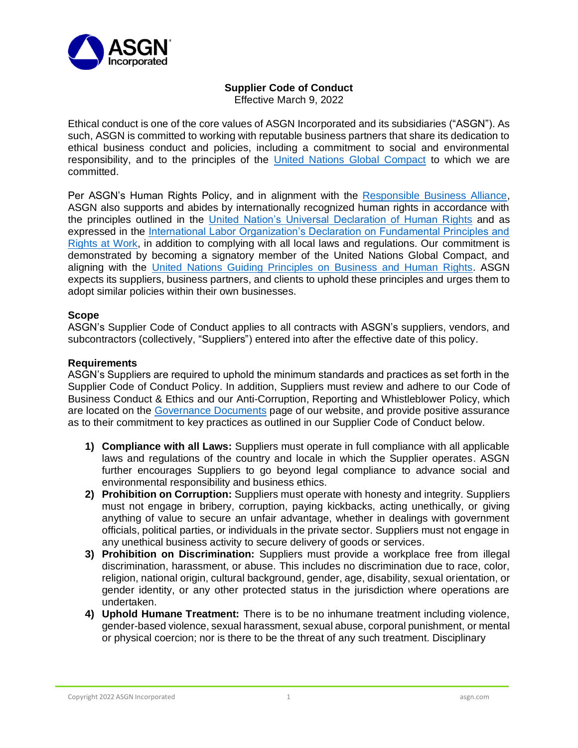

## **Supplier Code of Conduct**

Effective March 9, 2022

Ethical conduct is one of the core values of ASGN Incorporated and its subsidiaries ("ASGN"). As such, ASGN is committed to working with reputable business partners that share its dedication to ethical business conduct and policies, including a commitment to social and environmental responsibility, and to the principles of the [United Nations Global Compact](https://www.unglobalcompact.org/) to which we are committed.

Per ASGN's Human Rights Policy, and in alignment with the [Responsible Business Alliance,](http://www.responsiblebusiness.org/) ASGN also supports and abides by internationally recognized human rights in accordance with the principles outlined in the [United Nation's Universal Declaration of Human Rights](https://www.un.org/en/about-us/universal-declaration-of-human-rights) and as expressed in the [International Labor Organization's Declaration on Fundamental Principles and](https://www.ilo.org/declaration/lang--en/index.htm)  [Rights at Work,](https://www.ilo.org/declaration/lang--en/index.htm) in addition to complying with all local laws and regulations. Our commitment is demonstrated by becoming a signatory member of the United Nations Global Compact, and aligning with the [United Nations Guiding Principles on Business and Human Rights.](https://www.ohchr.org/documents/publications/guidingprinciplesbusinesshr_en.pdf) ASGN expects its suppliers, business partners, and clients to uphold these principles and urges them to adopt similar policies within their own businesses.

## **Scope**

ASGN's Supplier Code of Conduct applies to all contracts with ASGN's suppliers, vendors, and subcontractors (collectively, "Suppliers") entered into after the effective date of this policy.

## **Requirements**

ASGN's Suppliers are required to uphold the minimum standards and practices as set forth in the Supplier Code of Conduct Policy. In addition, Suppliers must review and adhere to our Code of Business Conduct & Ethics and our Anti-Corruption, Reporting and Whistleblower Policy, which are located on the [Governance Documents](https://investors.asgn.com/governance/governance-documents/default.aspx) page of our website, and provide positive assurance as to their commitment to key practices as outlined in our Supplier Code of Conduct below.

- **1) Compliance with all Laws:** Suppliers must operate in full compliance with all applicable laws and regulations of the country and locale in which the Supplier operates. ASGN further encourages Suppliers to go beyond legal compliance to advance social and environmental responsibility and business ethics.
- **2) Prohibition on Corruption:** Suppliers must operate with honesty and integrity. Suppliers must not engage in bribery, corruption, paying kickbacks, acting unethically, or giving anything of value to secure an unfair advantage, whether in dealings with government officials, political parties, or individuals in the private sector. Suppliers must not engage in any unethical business activity to secure delivery of goods or services.
- **3) Prohibition on Discrimination:** Suppliers must provide a workplace free from illegal discrimination, harassment, or abuse. This includes no discrimination due to race, color, religion, national origin, cultural background, gender, age, disability, sexual orientation, or gender identity, or any other protected status in the jurisdiction where operations are undertaken.
- **4) Uphold Humane Treatment:** There is to be no inhumane treatment including violence, gender-based violence, sexual harassment, sexual abuse, corporal punishment, or mental or physical coercion; nor is there to be the threat of any such treatment. Disciplinary